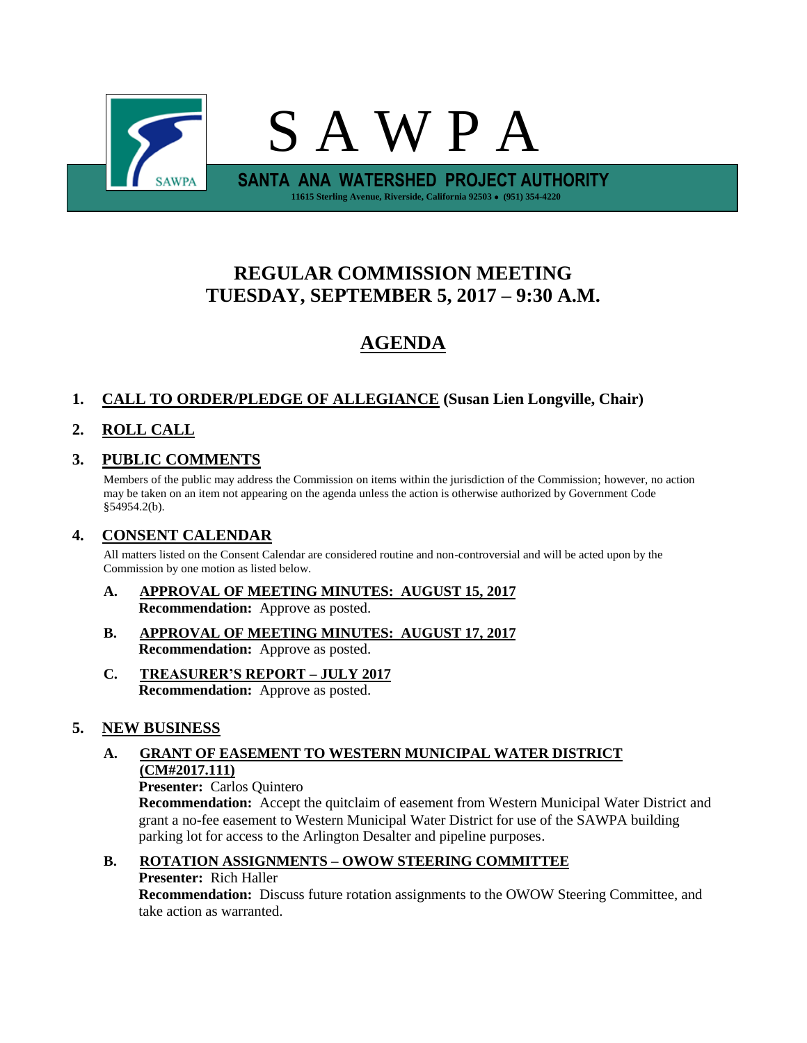

# **REGULAR COMMISSION MEETING TUESDAY, SEPTEMBER 5, 2017 – 9:30 A.M.**

# **AGENDA**

## **1. CALL TO ORDER/PLEDGE OF ALLEGIANCE (Susan Lien Longville, Chair)**

## **2. ROLL CALL**

## **3. PUBLIC COMMENTS**

Members of the public may address the Commission on items within the jurisdiction of the Commission; however, no action may be taken on an item not appearing on the agenda unless the action is otherwise authorized by Government Code §54954.2(b).

### **4. CONSENT CALENDAR**

All matters listed on the Consent Calendar are considered routine and non-controversial and will be acted upon by the Commission by one motion as listed below.

- **A. APPROVAL OF MEETING MINUTES: AUGUST 15, 2017 Recommendation:** Approve as posted.
- **B. APPROVAL OF MEETING MINUTES: AUGUST 17, 2017 Recommendation:** Approve as posted.
- **C. TREASURER'S REPORT – JULY 2017 Recommendation:** Approve as posted.

### **5. NEW BUSINESS**

### **A. GRANT OF EASEMENT TO WESTERN MUNICIPAL WATER DISTRICT (CM#2017.111)**

**Presenter:** Carlos Quintero

**Recommendation:** Accept the quitclaim of easement from Western Municipal Water District and grant a no-fee easement to Western Municipal Water District for use of the SAWPA building parking lot for access to the Arlington Desalter and pipeline purposes.

# **B. ROTATION ASSIGNMENTS – OWOW STEERING COMMITTEE Presenter:** Rich Haller

**Recommendation:** Discuss future rotation assignments to the OWOW Steering Committee, and take action as warranted.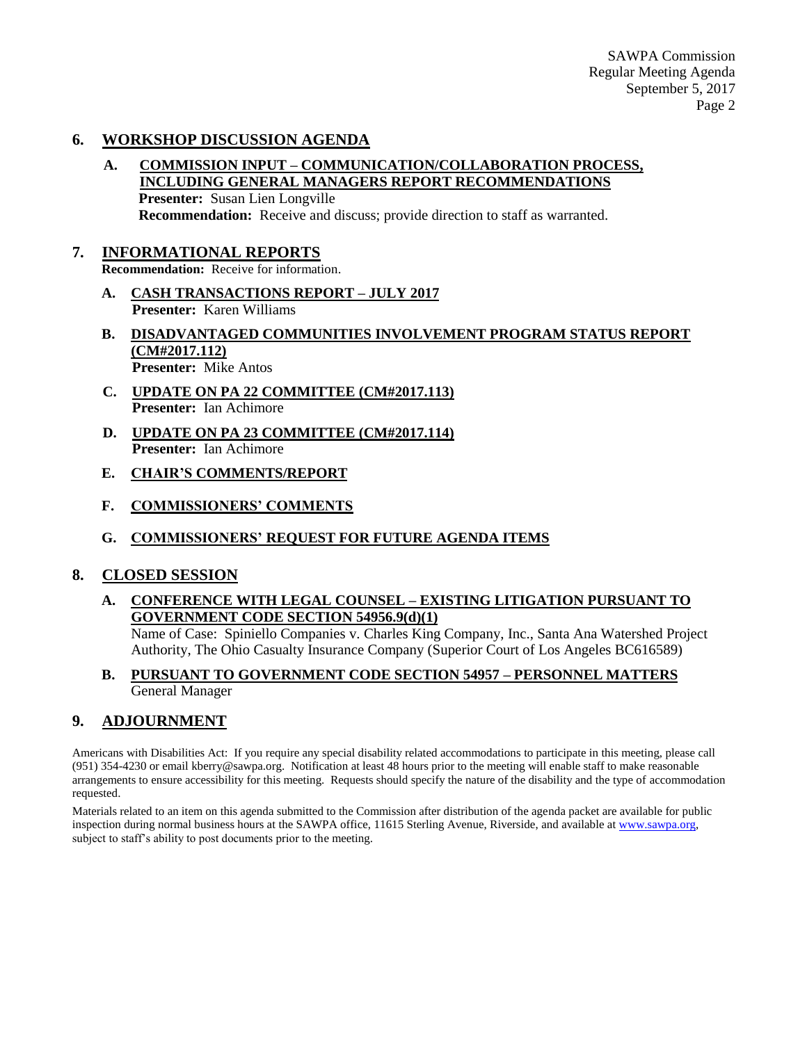SAWPA Commission Regular Meeting Agenda September 5, 2017 Page 2

#### **6. WORKSHOP DISCUSSION AGENDA**

**A. COMMISSION INPUT – COMMUNICATION/COLLABORATION PROCESS, INCLUDING GENERAL MANAGERS REPORT RECOMMENDATIONS Presenter:** Susan Lien Longville

**Recommendation:** Receive and discuss; provide direction to staff as warranted.

#### **7. INFORMATIONAL REPORTS**

**Recommendation:** Receive for information.

- **A. CASH TRANSACTIONS REPORT – JULY 2017 Presenter:** Karen Williams
- **B. DISADVANTAGED COMMUNITIES INVOLVEMENT PROGRAM STATUS REPORT (CM#2017.112) Presenter:** Mike Antos
- **C. UPDATE ON PA 22 COMMITTEE (CM#2017.113) Presenter:** Ian Achimore
- **D. UPDATE ON PA 23 COMMITTEE (CM#2017.114) Presenter:** Ian Achimore
- **E. CHAIR'S COMMENTS/REPORT**
- **F. COMMISSIONERS' COMMENTS**
- **G. COMMISSIONERS' REQUEST FOR FUTURE AGENDA ITEMS**

#### **8. CLOSED SESSION**

**A. CONFERENCE WITH LEGAL COUNSEL – EXISTING LITIGATION PURSUANT TO GOVERNMENT CODE SECTION 54956.9(d)(1)**

Name of Case: Spiniello Companies v. Charles King Company, Inc., Santa Ana Watershed Project Authority, The Ohio Casualty Insurance Company (Superior Court of Los Angeles BC616589)

#### **B. PURSUANT TO GOVERNMENT CODE SECTION 54957 – PERSONNEL MATTERS** General Manager

#### **9. ADJOURNMENT**

Americans with Disabilities Act: If you require any special disability related accommodations to participate in this meeting, please call (951) 354-4230 or email kberry@sawpa.org. Notification at least 48 hours prior to the meeting will enable staff to make reasonable arrangements to ensure accessibility for this meeting. Requests should specify the nature of the disability and the type of accommodation requested.

Materials related to an item on this agenda submitted to the Commission after distribution of the agenda packet are available for public inspection during normal business hours at the SAWPA office, 11615 Sterling Avenue, Riverside, and available a[t www.sawpa.org,](http://www.sawpa.org/) subject to staff's ability to post documents prior to the meeting.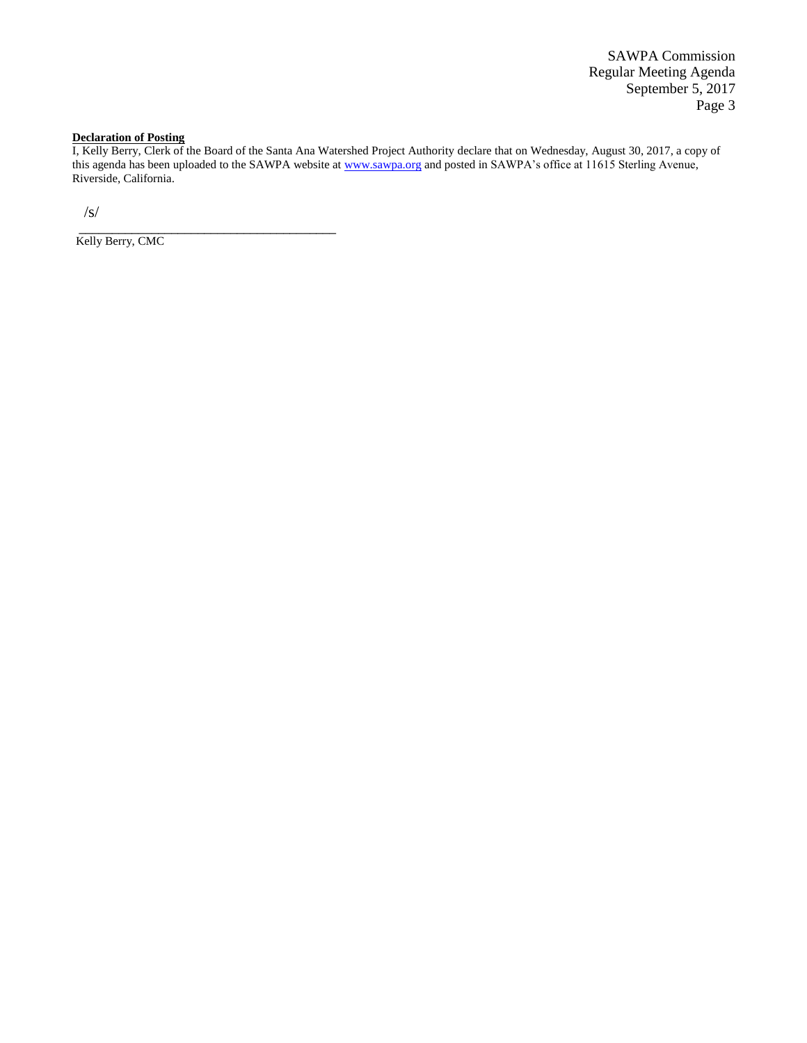SAWPA Commission Regular Meeting Agenda September 5, 2017 Page 3

#### **Declaration of Posting**

I, Kelly Berry, Clerk of the Board of the Santa Ana Watershed Project Authority declare that on Wednesday, August 30, 2017, a copy of this agenda has been uploaded to the SAWPA website at [www.sawpa.org](http://www.sawpa.org/) and posted in SAWPA's office at 11615 Sterling Avenue, Riverside, California.

/s/

\_\_\_\_\_\_\_\_\_\_\_\_\_\_\_\_\_\_\_\_\_\_\_\_\_\_\_\_\_\_\_\_\_\_\_\_\_\_\_ Kelly Berry, CMC